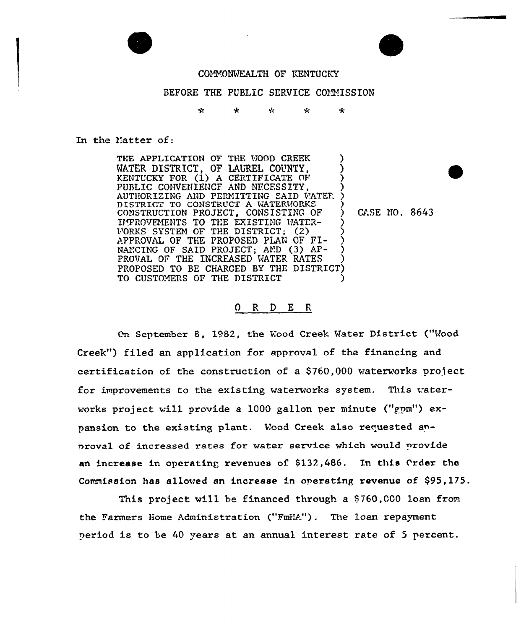

#### COMMONWEALTH OF KENTUCKY

#### BEFORE THE PUBLIC SERVICE COMMISSION

ماليه 4  $\star$ Ne. مایہ

#### In the Matter of:

THE APPLICATION OF THE WOOD CREEK WATER DISTRICT, OF LAUREL COUNTY, KENTUCKY FOR (1) A CERTIFICATE OF PUBLIC CONVENIENCE AND NECESSITY. AUTHORIZING AND PERMITTING SAID WATER DISTRICT TO CONSTRUCT A WATERWORKS CONSTRUCTION PROJECT, CONSISTING OF IMPROVEMENTS TO THE EXISTING WATER-WORKS SYSTEM OF THE DISTRICT; (2)<br>APPROVAL OF THE PROPOSED PLAN OF FI-NANCING OF SAID PROJECT; AND (3) AP-PROVAL OF THE INCREASED WATER RATES PROPOSED TO BE CHARGED BY THE DISTRICT) TO CUSTOMERS OF THE DISTRICT

CASE NO. 8643

#### O R D E R

On September 8, 1982, the Wood Creek Water District ("Wood Creek") filed an application for approval of the financing and certification of the construction of a \$760,000 waterworks project for improvements to the existing waterworks system. This waterworks project will provide a 1000 gallon per minute ("gpm") expansion to the existing plant. Wood Creek also requested anproval of increased rates for water service which would provide an increase in operating revenues of \$132,486. In this Order the Commission has allowed an increase in operating revenue of \$95,175.

This project will be financed through a \$760,000 loan from the Farmers Home Administration ("FmHA"). The loan repayment period is to be 40 years at an annual interest rate of 5 percent.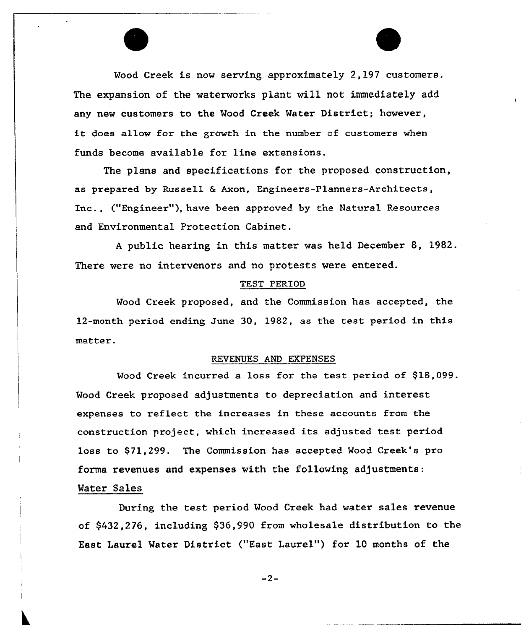Mood Creek is now serving approximately 2,197 customers. The expansion of the waterworks plant will not immediately add any new customers to the Mood Creek Mater District; however, it does allow for the growth in the number of customers when funds become available for line extensions.

The plans and specifications for the proposed construction, as prepared by Russell & Axon, Engineers-Planners-Architects, Inc., ("Engineer"), have been approved by the Natural Resources and Environmental Protection Cabinet.

<sup>A</sup> public hearing in this matter was held December 8, 1982. There were no intervenors and no protests were entered.

#### TEST PERIOD

Mood Creek proposed, and the Commission has accepted, the 12-month period ending June 30, 1982, as the test period in this matter.

#### REVENUES AND EXPENSES

Wood Creek incurred a loss for the test period of \$18,099. Mood Creek proposed adjustments to depreciation and interest expenses to reflect the increases in these accounts from the construction project, which increased its adjusted test period loss to \$71,299. The Commission has accepted Wood Creek's pro forma revenues and expenses with the following adjustments: Mater Sales

During the test period Mood Creek had water sales revenue of \$432,276, including \$36,990 from wholesale distribution to the East Laurel Water District ("East Laurel") for 10 months of the

 $-2-$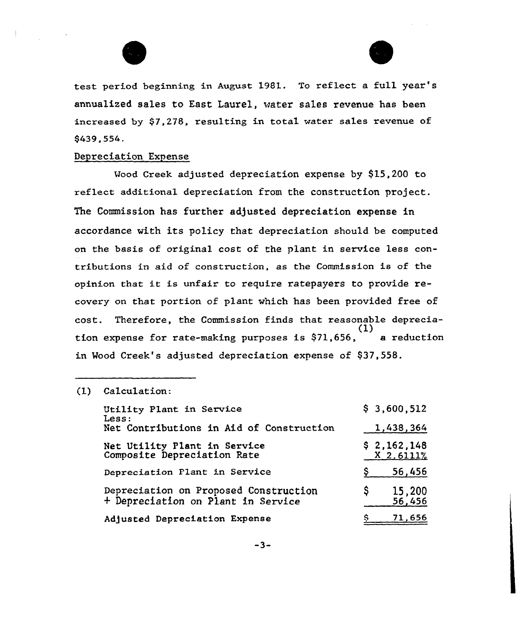



test period beginning in August 1981. To reflect a full year' annualized sales to East Laurel, water sales revenue has been increased by \$7,278, resulting in total water sales revenue of \$439,554.

#### Depreciation Expense

Wood Creek adjusted depreciation expense by \$15,200 to reflect additional depreciation from the construction project. The Commission has further adjusted depreciation expense in accordance with its policy that depreciation should be computed on the basis of original cost of the plant in service less contributions in aid of construction, as the Commission is af the opinion that it is unfair to require ratepayers to provide recovery on that portion of plant which has been provided free of cost. Therefore, the Commission finds that reasonable depreeia-  $\overline{(1)}$ tion expense for rate-making purposes is  $$71,656$ , a reduction in Wood Creek's adjusted depreciation expense of \$37,558.

#### (1) Calculation:

| Utility Plant in Service<br>Less:                                           | \$3,600,512              |
|-----------------------------------------------------------------------------|--------------------------|
| Net Contributions in Aid of Construction                                    | 1,438,364                |
| Net Utility Plant in Service<br>Composite Depreciation Rate                 | \$2,162,148<br>X 2.6111% |
| Depreciation Plant in Service                                               | 56,456                   |
| Depreciation on Proposed Construction<br>+ Depreciation on Plant in Service | 15,200<br>S<br>56,456    |
| Adjusted Depreciation Expense                                               | 71,656                   |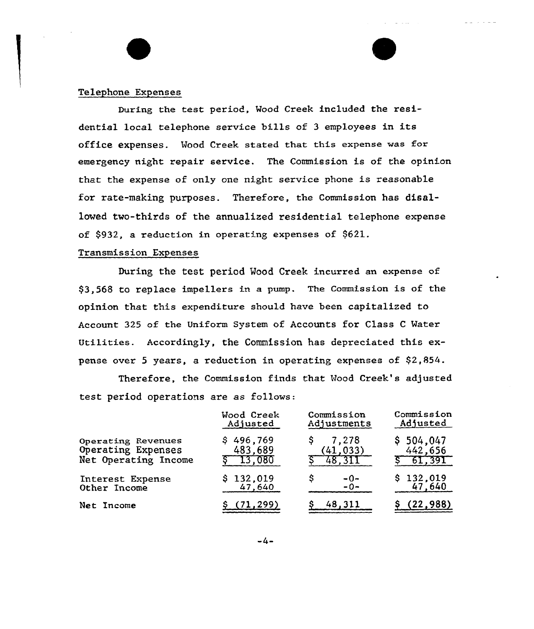#### Telephone Expenses

During the test period, Mood Creek included the residential local telephone service bills of <sup>3</sup> employees in its office expenses. Wood Creek stated that this expense was for emergency night repair service. The Commission is of the opinion that the expense of only one night service phone is reasonable for rate-making purposes. Therefore, the Commission has disalloved tvo-thirds of the annualized residential telephone expense of \$932, a reduction in operating expenses of \$621.

كالمنابذ الماري

#### Transmission Expenses

During the test period Wood Creek incurred an expense of \$3,568 to replace impellers in a pump. The Commission is of the opinion that this expenditure should have been capitalized to Account 325 of the Uniform System of Accounts for Class <sup>C</sup> Mater Utilities. Accordingly, the Commission has depreciated this expense over 5 years, a reduction in operating expenses of \$2,854.

Therefore, the Commission finds that Wood Creek's adjusted test period operations are as follows:

|                                  | Wood Creek          | Commission          | Commission          |
|----------------------------------|---------------------|---------------------|---------------------|
|                                  | Adjusted            | Adjustments         | Adjusted            |
| Operating Revenues               | \$496,769           | 7,278               | \$504,047           |
| Operating Expenses               | 483,689             | (41, 033)           | 442,656             |
| Net Operating Income             | 13,080              | 48.311              | 61,391              |
| Interest Expense<br>Other Income | \$132,019<br>47,640 | S<br>$-0-$<br>$-0-$ | \$132,019<br>47,640 |
| Net Income                       | (71, 299)           | 48.311              | (22, 988)           |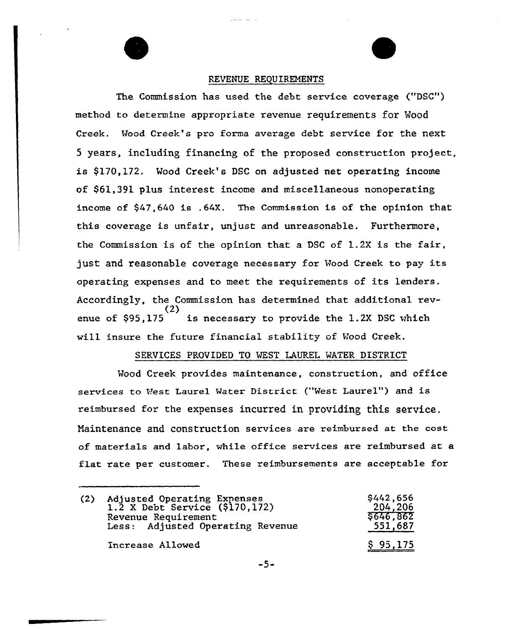#### REVENUE REQUIREMENTS

The Commission has used the debt service coverage ("DSC") method to determine appropriate revenue requirements for Mood Creek. Wood Creek's pro forma average debt service for the next 5 years, including financing of the proposed construction project, is \$170,172. Wood Creek's DSC on adjusted net operating income of \$61,391 plus interest income and miscellaneous nonoperating income of \$41,640 is .64X. The Commission is of the opinion that this coverage is unfair, unjust and unreasonable. Furthermore, the Commission is of the opinion that a DSC of 1.2X is the faix, just and reasonable coverage necessary for Wood Creek to pay its operating expenses and to meet the requirements of its lenders. Accordingly, the Commission has determined that additional rev-(2) enue of \$95,175 is necessary to provide the 1.2X DSC which will insure the future financial stability of Wood Creek.

#### SERVICES PROVIDED TO WEST LAUREL WATER DISTRICT

Wood Creek provides maintenance, construction, and office services to West Laurel Water District ("West Laurel") and is reimbursed for the expenses incurred in providing this service. Naintenance and construction services are reimbursed at the cost of materials and labor, while office services are reimbursed at a flat rate per customer. These reimbursements are acceptable for

| (2) | Adjusted Operating Expenses<br>1.2 X Debt Service (\$170,172)<br>Revenue Requirement<br>Less: Adjusted Operating Revenue | \$442,656<br>204,206<br>\$646.862<br>551,687 |
|-----|--------------------------------------------------------------------------------------------------------------------------|----------------------------------------------|
|     | Increase Allowed                                                                                                         | \$95,175                                     |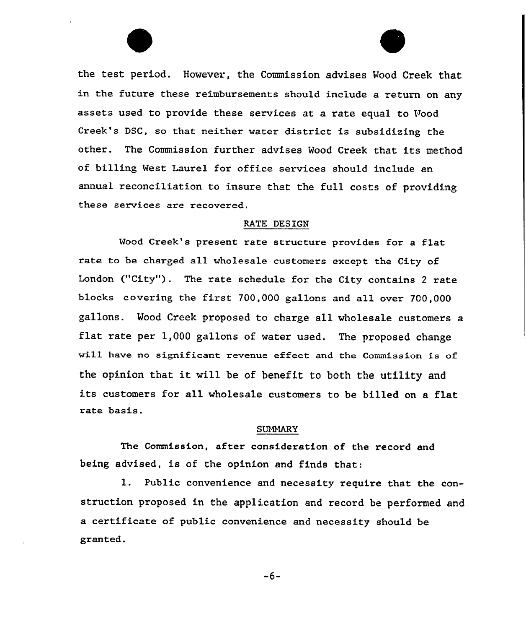the test period. However, the Commission advises Wood Creek that in the future these reimbursements should include a return on any assets used to provide these services at a rate equal to Wood Creek's DSC, so that neither water district is subsidizing the other. The Commission further advises Wood Creek that its method of billing West Laurel for office services should include an annual reconciliation to insure that the full costs of providing these services are recovered.

#### RATE DESIGN

Mood Creek's present rate structure provides for <sup>a</sup> flat rate to be charged all wholesale customers except the City of London ("City"). The rate schedule for the City contains 2 rate blocks covering the first 700,000 gallons and all over 700,000 gallons. Wood Creek proposed to charge all wholesale customers a flat rate per 1,000 gallons of water used. The proposed change will have no significant revenue effect and the Commission is of the opinion that it will be of benefit to both the utility and its customers for all wholesale customers to be billed on a flat rate basis.

#### SUMMARY

The Commission, after consideration of the record and being advised, is of the opinion and finds that:

1. Public convenience and necessity require that the construction proposed in the application and record be performed and a certificate of public convenience and necessity should be granted.

-6-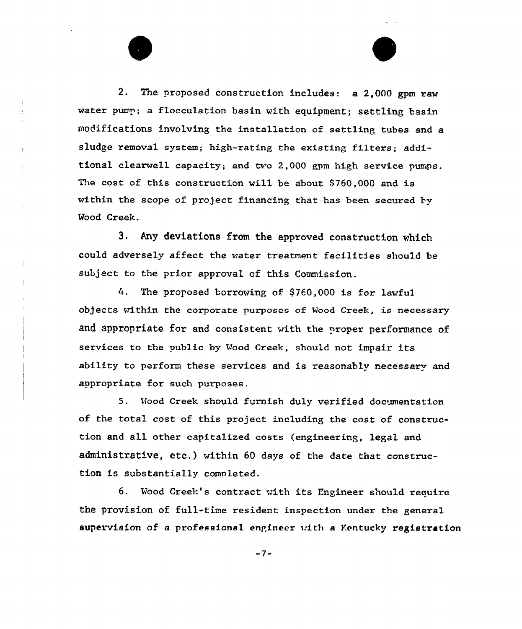2. The proposed construction includes: a 2,000 gpm raw water pump; a flocculation basin with equipment; settling basin modifications invo1ving the installation of settling tubes and a sludge removal system; high-rating the existing filters; additional clearwell capacity; and two 2,000 gpm high service pumps. The cost of this construction will be about  $$760,000$  and is within the scope of project financing that has been secured by Wood Creek.

3. Any deviations from the approved construction which could adversely affect the water treatment facilities should be subject to the prior approval of this Commission.

 $4.$ The proposed borrowing of \$760,000 is for lawful objects within the corporate purposes of Wood Creek, is necessary and appropriate for and consistent with the proper performance of services to the public by Wood Creek, should not impair its ability to perform these services and is reasonably necessary and appropriate for such purposes.

5. Hood Creek should furnish duly verified documentation of the total cost of this project including the cost of construction and all other capitalized costs (engineering, legal and administrative, etc.) within <sup>60</sup> days of the date that construction is substantially completed.

6. Wood Creek's contract with its Engineer should require the provision of full-tine resident inspection under the general supervision of a professional engineer with a Kentucky registration

 $-7-$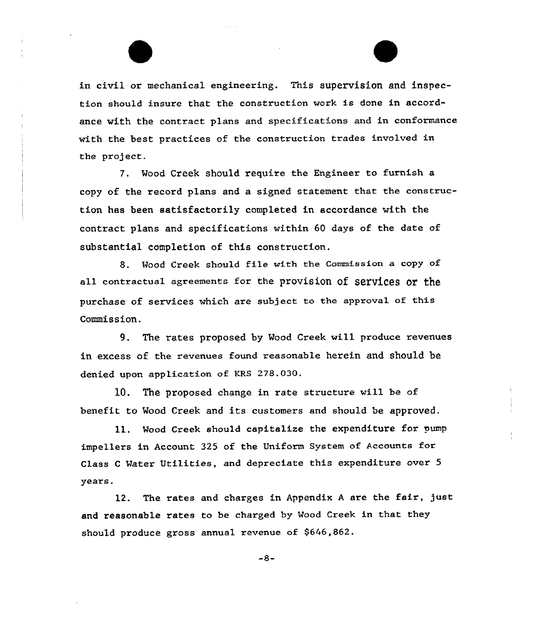in civil or mechanical engineexing. This supervision and inspection should insure that the construction work is done in accordance with the contract plans and specifications and in conformance with the best practices of the construction trades involved in the project.

7. Mood Creek should require the Engineer to furnish a copy of the record plans and a signed statement that the construction has been satisfactorily completed in accordance with the contract plans and specifications within 60 days of the date of substantial completion of this construction.

8. Mood Creek should file with the Commission a copy of all contractual agreements for the provision of services or the purchase of services which are subject to the approval of this Commission.

9. The rates proposed by Mood Creek will produce revenues in excess of the revenues found reasonable herein and should be denied upon application of KRS 278.030.

10. The proposed change in rate structure vill be of benefit to Wood Creek and its customers and should be approved.

ll. Mood Creek should capitalize the expenditure for pump impellers in Account 325 of the Uniform System of Accounts for Class <sup>C</sup> Mater Utilities, and depxeciate this expenditure over 5 years.

12. The rates and charges in Appendix A are the fair, just and reasonable rates to be charged by Mood Creek in that they should produce gross annual revenue of \$646,862.

 $-8-$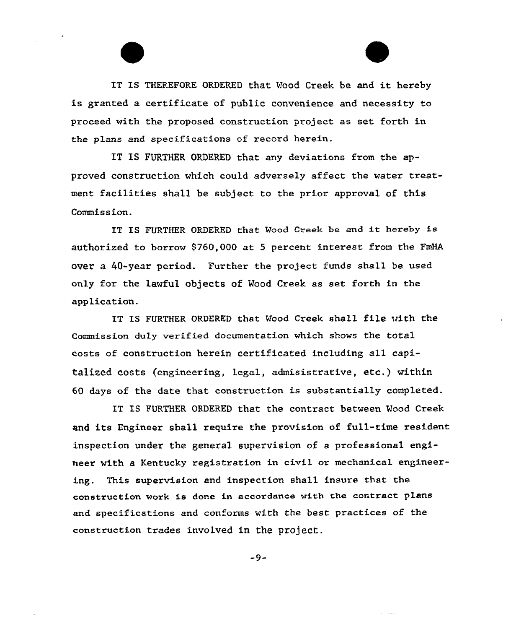IT IS THEREFORE ORDERED that Wood Creek be and it hereby is granted a certificate of public convenience and necessity to proc ed with the proposed construction project as set forth in the plans and specifications of record herein.

E

 $\alpha$  . The second  $\alpha$ 

IT IS FURTHER ORDERED that any deviations from the approved construction which could adversely affect the water treatment facilities shall be subject to the prior approval of this Commission.

IT IS FURTHER ORDERED that Vood Creek be and it hereby is authorized to borrow 9760,000 at <sup>S</sup> percent interest from the FmHA over a 40-year period. Further the project funds shall be used only for the lawful objects of Mood Creek as set. forth in the application.

IT IS FURTHER ORDERED that Mood Creek shall file with the Commission duLy verified documentation which shows the total costs of construction herein certificated including all capitalized costs (engineering, legal, admisistrative, etc.) within 60 days of the date that construction is substantially completed.

IT IS FURTHER ORDERED that the contract between Mood Creek and its Engineer shall require the provision of full-time resident inspection under the general supervision of a professional engineer with a Kentucky registration in civil or mechanical engineering. This supervision and inspection shall insure that the construction work is done in accordance with the contract plans and specifications and conforms with the best practices of the construction trades involved in the project.

 $-9-$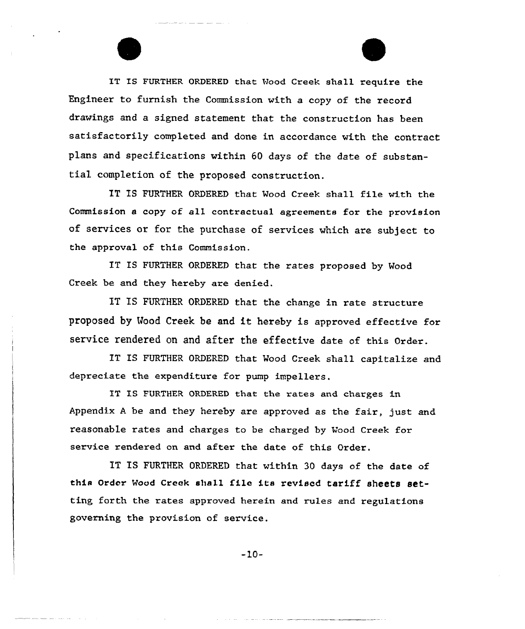IT IS FURTHER ORDERED that Wood Creek shall require the Engineer to furnish the Commission with a copy of the record drawings and a signed statement that the construction has been satisfactorily completed and done in accordance with the contract plans and specifications within 60 days of the date of substantial completion of the proposed construction.

IT IS FURTHER ORDERED that Mood Creek shall file with the Commission a copy of all contractual agreements for the provision of services or for the purchase of services which are subject to the approval of this Commission.

IT IS FURTHER ORDERED that the rates proposed by Wood Creek be and they hereby are denied.

IT IS FURTHER ORDERED that the change in rate structure proposed by Mood Creek be and it hereby is approved effective For service rendered on and after the effective date of this order.

IT IS FURTHER ORDERED that Wood Creek shall capitalize and depreciate the expenditure for pump impellers.

IT IS FURTHER ORDERED that the rates and charges in Appendix <sup>A</sup> be and they hexeby are approved as the fair, just and reasonable rates and charges to be charged by Wood Creek for service rendered on and after the date of this Order.

IT IS FURTHER ORDERED that within 30 days of the date of this Order Mood Creek shall file its revised tariff sheets setting forth the rates approved herein and rules and regulations governing the pxovision of service.

 $-10-$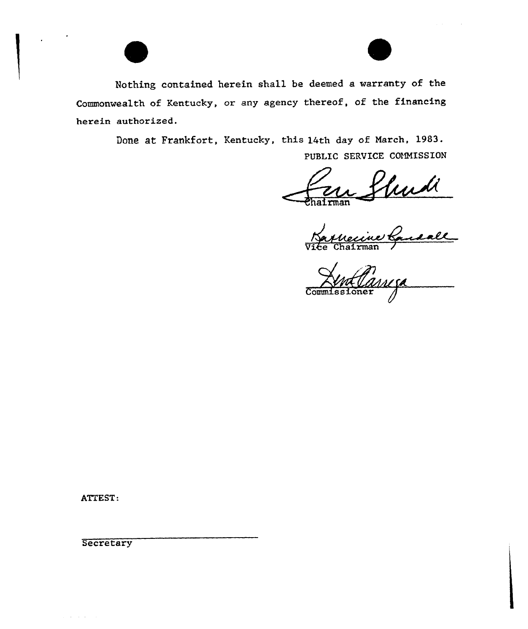

Nothing contained herein shall be deemed a warranty of the Commonwealth of Kentucky, or any agency thereof, of the financing herein authorised.

Done at Frankfort, Kentucky, this 14th day of March, 1983.

PUBLIC SERVICE COMMISSION

Vierdi

Commi

ATTEST:

**Secretary** 

 $\alpha$  ,  $\alpha$  ,  $\alpha$  ,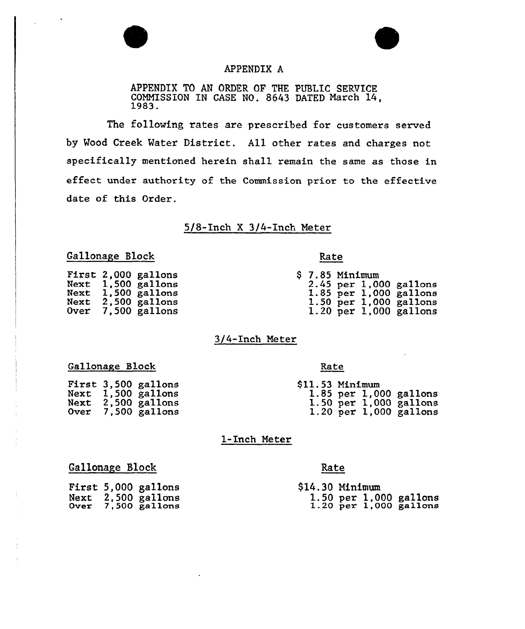



#### APPENDIX A

APPENDIX TO AN ORDER OF THE PUBLIC SERVICE COMMISSION IN CASE NQ. <sup>8643</sup> DATED March 14, 1983.

The following rates are prescribed for customers served by Wood Creek Water District. All other rates and charges not specifically mentioned herein shall remain the same as those in effect under authority of the Commission prior to the effective date of this Order.

#### 5/8-Inch X 3/4-Inch Meter

#### Gallonage Block Rate

| <b>First</b><br>Next<br><b>Next</b><br>Next | 2,000 gallons<br>1,500 gallons<br>$1,500$ gallons<br>2,500 gallons |
|---------------------------------------------|--------------------------------------------------------------------|
| Over                                        | 7,500 gallons                                                      |

| <b>\$7.85 Minimum</b> |  |                          |
|-----------------------|--|--------------------------|
|                       |  | $2.45$ per 1,000 gallons |
|                       |  | 1.85 per $1,000$ gallons |
|                       |  | 1.50 per $1,000$ gallons |
|                       |  | 1.20 per $1,000$ gallons |

#### 3/4-Inch Meter

#### Gallonage Block

| Next         | First 3,500 gallons<br>1,500 gallons |
|--------------|--------------------------------------|
| Next<br>Over | 2,500 gallons<br>7,500 gallons       |

#### Rate

| \$11.53 Minimum |  |                            |
|-----------------|--|----------------------------|
|                 |  | 1.85 per $1,000$ gallons   |
|                 |  | $1.50$ per $1,000$ gallons |
|                 |  | $1.20$ per $1,000$ gallons |

#### 1-Inch Meter

#### Gallonage Block

|      | <b>First 5,000 gallons</b> |
|------|----------------------------|
| Next | 2,500 gallons              |
| Over | 7,500 gallons              |

#### Rate

| <b>\$14.30 Minimum</b> |  |                                                      |
|------------------------|--|------------------------------------------------------|
|                        |  | 1.50 per 1,000 gallons<br>$1.20$ per $1,000$ gallons |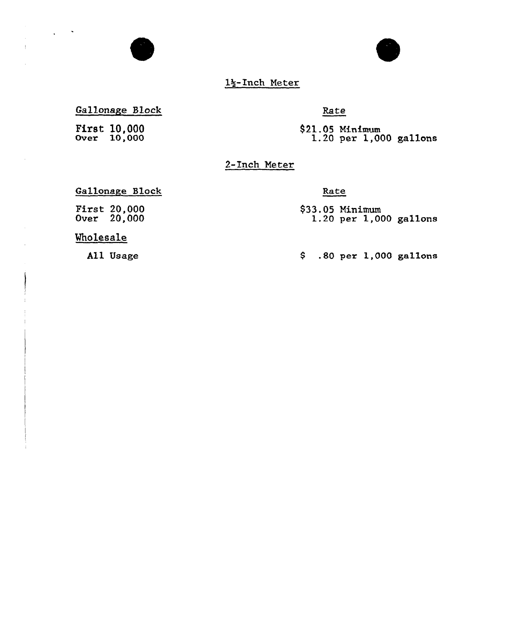

1\$-Inch Meter

### Gallonage Block

**First 10,000**<br>Over 10,000

 $\Delta \sim 10^{-4}$ 

 $\mathbf{I}$ 

 $\mathcal{L}$ 

#### Rate

 $$21.05$  Minimum<br>1.20 per 1,000 gallons

2-Inch Meter

#### Gallonage Block

First: 20,000 Over 20,000

#### Rate

\$33.05 Minimu  $1.20$  per  $1,000$  gallon

#### Wholesale

All Usage

.80 per 1,000 gallons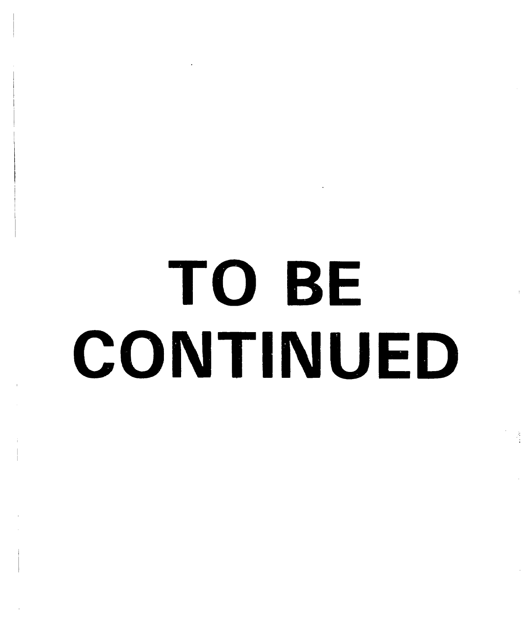# TO BE CONTINUED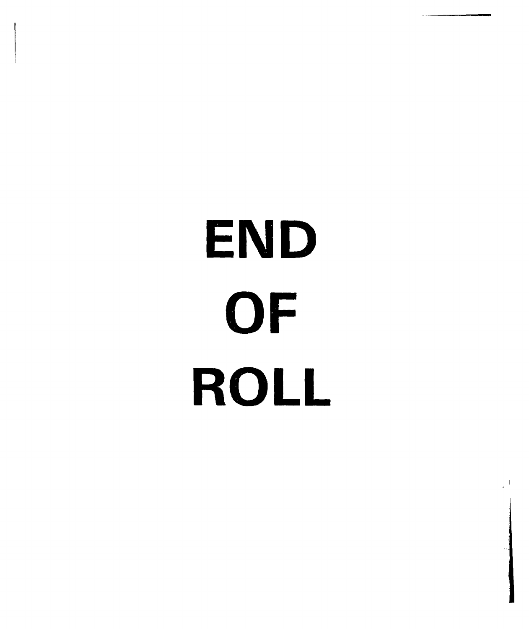# END OF ROLL